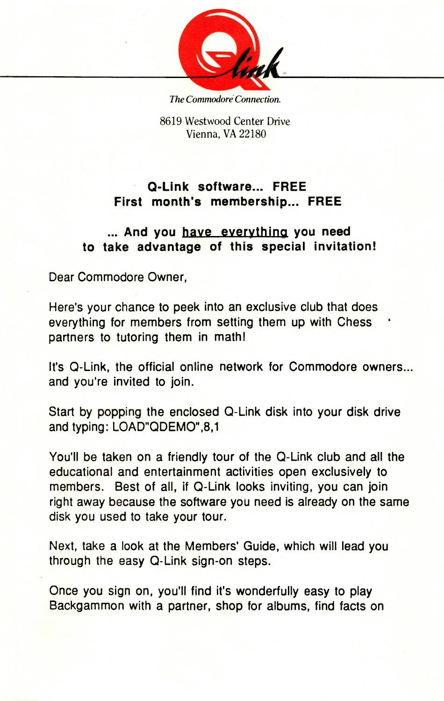

*The Commodore Connection* 

8619 Westwood Center Drive Vienna, VA 22180

## **Q-Link software... FREE First month's membership... FREE**

## **... And you have evervthina you need to take advantage of this special invitation!**

Dear Commodore Owner,

Here's your chance to peek into an exclusive club that does everything for members from setting them up with Chess \* partners to tutoring them in math!

It's Q-Link, the official online network for Commodore owners... and you're invited to join.

Start by popping the enclosed Q-Link disk into your disk drive and typing: LOAD"QDEMO",8,1

You'll be taken on a friendly tour of the Q-Link club and all the educational and entertainment activities open exclusively to members. Best of all, if Q-Link looks inviting, you can join right away because the software you need is already on the same disk you used to take your tour.

Next, take a look at the Members' Guide, which will lead you through the easy Q-Link sign-on steps.

Once you sign on, you'll find it's wonderfully easy to play Backgammon with a partner, shop for albums, find facts on